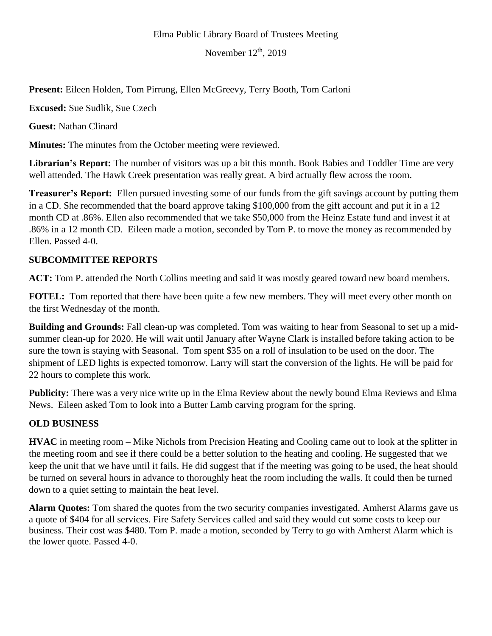## Elma Public Library Board of Trustees Meeting

November  $12<sup>th</sup>$ , 2019

**Present:** Eileen Holden, Tom Pirrung, Ellen McGreevy, Terry Booth, Tom Carloni

**Excused:** Sue Sudlik, Sue Czech

**Guest:** Nathan Clinard

**Minutes:** The minutes from the October meeting were reviewed.

**Librarian's Report:** The number of visitors was up a bit this month. Book Babies and Toddler Time are very well attended. The Hawk Creek presentation was really great. A bird actually flew across the room.

**Treasurer's Report:** Ellen pursued investing some of our funds from the gift savings account by putting them in a CD. She recommended that the board approve taking \$100,000 from the gift account and put it in a 12 month CD at .86%. Ellen also recommended that we take \$50,000 from the Heinz Estate fund and invest it at .86% in a 12 month CD. Eileen made a motion, seconded by Tom P. to move the money as recommended by Ellen. Passed 4-0.

## **SUBCOMMITTEE REPORTS**

**ACT:** Tom P. attended the North Collins meeting and said it was mostly geared toward new board members.

**FOTEL:** Tom reported that there have been quite a few new members. They will meet every other month on the first Wednesday of the month.

**Building and Grounds:** Fall clean-up was completed. Tom was waiting to hear from Seasonal to set up a midsummer clean-up for 2020. He will wait until January after Wayne Clark is installed before taking action to be sure the town is staying with Seasonal. Tom spent \$35 on a roll of insulation to be used on the door. The shipment of LED lights is expected tomorrow. Larry will start the conversion of the lights. He will be paid for 22 hours to complete this work.

**Publicity:** There was a very nice write up in the Elma Review about the newly bound Elma Reviews and Elma News. Eileen asked Tom to look into a Butter Lamb carving program for the spring.

## **OLD BUSINESS**

**HVAC** in meeting room – Mike Nichols from Precision Heating and Cooling came out to look at the splitter in the meeting room and see if there could be a better solution to the heating and cooling. He suggested that we keep the unit that we have until it fails. He did suggest that if the meeting was going to be used, the heat should be turned on several hours in advance to thoroughly heat the room including the walls. It could then be turned down to a quiet setting to maintain the heat level.

**Alarm Quotes:** Tom shared the quotes from the two security companies investigated. Amherst Alarms gave us a quote of \$404 for all services. Fire Safety Services called and said they would cut some costs to keep our business. Their cost was \$480. Tom P. made a motion, seconded by Terry to go with Amherst Alarm which is the lower quote. Passed 4-0.